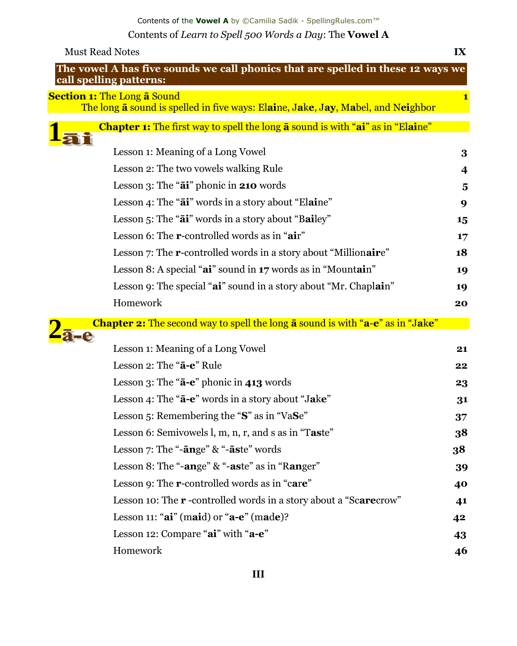Contents of the **Vowel A** by ©Camilia Sadik - SpellingRules.com™ Contents of *Learn to Spell 500 Words a Day*: The **Vowel A**

| <b>Must Read Notes</b>                                                                                                        | $\mathbf{I} \mathbf{X}$ |
|-------------------------------------------------------------------------------------------------------------------------------|-------------------------|
| The vowel A has five sounds we call phonics that are spelled in these 12 ways we<br>call spelling patterns:                   |                         |
| <b>Section 1:</b> The Long <b>a</b> Sound<br>The long a sound is spelled in five ways: Elaine, Jake, Jay, Mabel, and Neighbor |                         |
| <b>Chapter 1:</b> The first way to spell the long <b>a</b> sound is with "ai" as in "Elaine"                                  |                         |
| Lesson 1: Meaning of a Long Vowel                                                                                             | 3                       |
| Lesson 2: The two vowels walking Rule                                                                                         | $\overline{\mathbf{4}}$ |
| Lesson $3$ : The " $\vec{a}$ " phonic in 210 words                                                                            | 5                       |
| Lesson 4: The "ai" words in a story about "Elaine"                                                                            | 9                       |
| Lesson 5: The "ai" words in a story about "Bailey"                                                                            | 15                      |
| Lesson 6: The r-controlled words as in "air"                                                                                  | 17                      |
| Lesson 7: The <b>r</b> -controlled words in a story about "Millionaire"                                                       | 18                      |
| Lesson 8: A special "ai" sound in 17 words as in "Mountain"                                                                   | 19                      |
| Lesson 9: The special "ai" sound in a story about "Mr. Chaplain"                                                              | 19                      |
| Homework                                                                                                                      | 20                      |
| <b>Chapter 2:</b> The second way to spell the long <b>a</b> sound is with " <b>a-e</b> " as in "Jake"                         |                         |
| Lesson 1: Meaning of a Long Vowel                                                                                             | 21                      |
| Lesson 2: The "a-e" Rule                                                                                                      | 22                      |
| Lesson 3: The " $\bar{a}$ -e" phonic in 413 words                                                                             | 23                      |
| Lesson 4: The " <b>a-e</b> " words in a story about "Jake"                                                                    | 31                      |
| Lesson 5: Remembering the "S" as in "VaSe"                                                                                    | 37                      |
| Lesson 6: Semivowels l, m, n, r, and s as in "Taste"                                                                          | 38                      |
| Lesson 7: The "-ange" & "-aste" words                                                                                         | 38                      |
| Lesson 8: The "-ange" & "-aste" as in "Ranger"                                                                                | 39                      |
| Lesson 9: The <b>r</b> -controlled words as in "care"                                                                         | 40                      |
| Lesson 10: The <b>r</b> -controlled words in a story about a "Scarecrow"                                                      | 41                      |
| Lesson 11: " $ai$ " (maid) or " $a-e$ " (made)?                                                                               | 42                      |
| Lesson 12: Compare "ai" with "a-e"                                                                                            | 43                      |
| Homework                                                                                                                      | 46                      |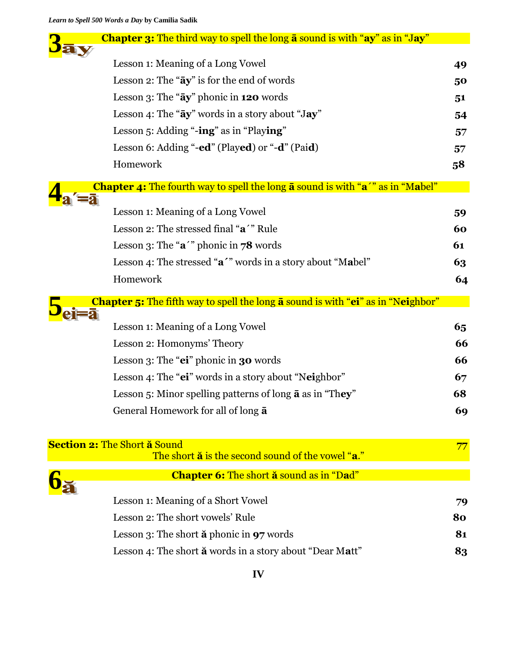| Chapter 3: The third way to spell the long a sound is with "ay" as in "Jay"                    |    |
|------------------------------------------------------------------------------------------------|----|
| Lesson 1: Meaning of a Long Vowel                                                              | 49 |
| Lesson 2: The "ay" is for the end of words                                                     | 50 |
| Lesson 3: The "ay" phonic in 120 words                                                         | 51 |
| Lesson 4: The "ay" words in a story about "Jay"                                                | 54 |
| Lesson 5: Adding "-ing" as in "Playing"                                                        | 57 |
| Lesson 6: Adding "-ed" (Played) or "-d" (Paid)                                                 | 57 |
| Homework                                                                                       | 58 |
| Chapter 4: The fourth way to spell the long a sound is with "a'" as in "Mabel"                 |    |
| Lesson 1: Meaning of a Long Vowel                                                              | 59 |
| Lesson 2: The stressed final "a'" Rule                                                         | 60 |
| Lesson 3: The " $a^{\prime}$ " phonic in 78 words                                              | 61 |
| Lesson 4: The stressed "a'" words in a story about "Mabel"                                     | 63 |
| Homework                                                                                       | 64 |
| <b>Chapter 5:</b> The fifth way to spell the long <b>a</b> sound is with "ei" as in "Neighbor" |    |
|                                                                                                |    |
| Lesson 1: Meaning of a Long Vowel                                                              | 65 |
| Lesson 2: Homonyms' Theory                                                                     | 66 |
| Lesson 3: The "ei" phonic in 30 words                                                          | 66 |
| Lesson 4: The "ei" words in a story about "Neighbor"                                           | 67 |
| Lesson 5: Minor spelling patterns of long $\bar{a}$ as in "They"                               | 68 |
| General Homework for all of long $\bar{a}$                                                     | 69 |
| <b>Section 2: The Short a Sound</b>                                                            | 77 |
| The short $\ddot{a}$ is the second sound of the vowel "a."                                     |    |
| <b>Chapter 6:</b> The short <b>ă</b> sound as in "Dad"                                         |    |
| Lesson 1: Meaning of a Short Vowel                                                             | 79 |
| Lesson 2: The short vowels' Rule                                                               | 80 |
| Lesson 3: The short $\check{a}$ phonic in 97 words                                             | 81 |
|                                                                                                |    |
| Lesson 4: The short $\breve{\mathbf{a}}$ words in a story about "Dear Matt"                    | 83 |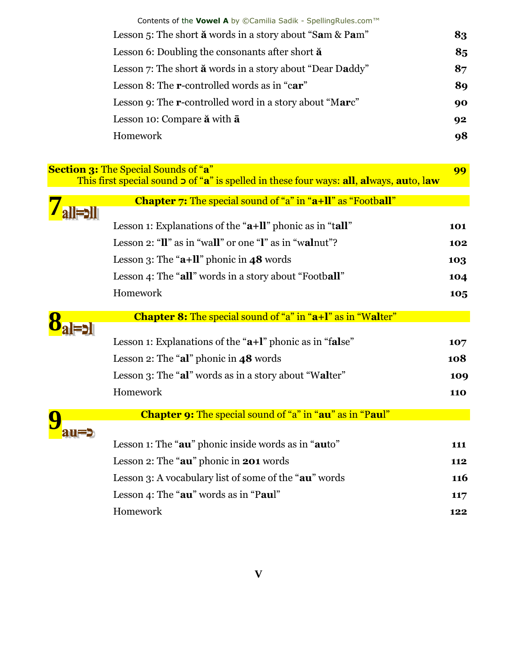|                         | Contents of the Vowel A by ©Camilia Sadik - SpellingRules.com™                                                                               |            |
|-------------------------|----------------------------------------------------------------------------------------------------------------------------------------------|------------|
|                         | Lesson 5: The short $\breve{\mathbf{a}}$ words in a story about "Sam & Pam"                                                                  | 83         |
|                         | Lesson 6: Doubling the consonants after short $\ddot{a}$                                                                                     | 85         |
|                         | Lesson 7: The short $\breve{\mathbf{a}}$ words in a story about "Dear Daddy"                                                                 | 87         |
|                         | Lesson 8: The <b>r</b> -controlled words as in "car"                                                                                         | 89         |
|                         | Lesson 9: The <b>r</b> -controlled word in a story about "Marc"                                                                              | 90         |
|                         | Lesson 10: Compare ă with a                                                                                                                  | 92         |
|                         | Homework                                                                                                                                     | 98         |
|                         |                                                                                                                                              |            |
|                         | <b>Section 3: The Special Sounds of "a"</b><br>This first special sound $\circ$ of "a" is spelled in these four ways: all, always, auto, law | 99         |
|                         | <b>Chapter 7:</b> The special sound of "a" in "a+ll" as "Football"                                                                           |            |
|                         |                                                                                                                                              |            |
|                         | Lesson 1: Explanations of the " $a+ll$ " phonic as in "tall"                                                                                 | 101        |
|                         | Lesson 2: "Il" as in "wall" or one "I" as in "walnut"?                                                                                       | 102        |
|                         | Lesson 3: The " $a+ll$ " phonic in 48 words                                                                                                  | 103        |
|                         | Lesson 4: The "all" words in a story about "Football"                                                                                        | 104        |
|                         | Homework                                                                                                                                     | 105        |
|                         | <b>Chapter 8:</b> The special sound of "a" in "a+l" as in "Walter"                                                                           |            |
|                         |                                                                                                                                              |            |
|                         | Lesson 1: Explanations of the " $a+1$ " phonic as in "false"                                                                                 | 107        |
|                         | Lesson 2: The "al" phonic in $48$ words                                                                                                      | 108        |
|                         | Lesson 3: The "al" words as in a story about "Walter"                                                                                        | 109        |
|                         | Homework                                                                                                                                     | <b>110</b> |
| $\overline{\mathbf{C}}$ | Chapter 9: The special sound of "a" in "au" as in "Paul"                                                                                     |            |
| au=                     |                                                                                                                                              |            |
|                         | Lesson 1: The "au" phonic inside words as in "auto"                                                                                          | 111        |
|                         | Lesson 2: The "au" phonic in 201 words                                                                                                       | 112        |
|                         | Lesson 3: A vocabulary list of some of the "au" words                                                                                        | <b>116</b> |
|                         | Lesson 4: The "au" words as in "Paul"                                                                                                        | 117        |
|                         | Homework                                                                                                                                     | 122        |